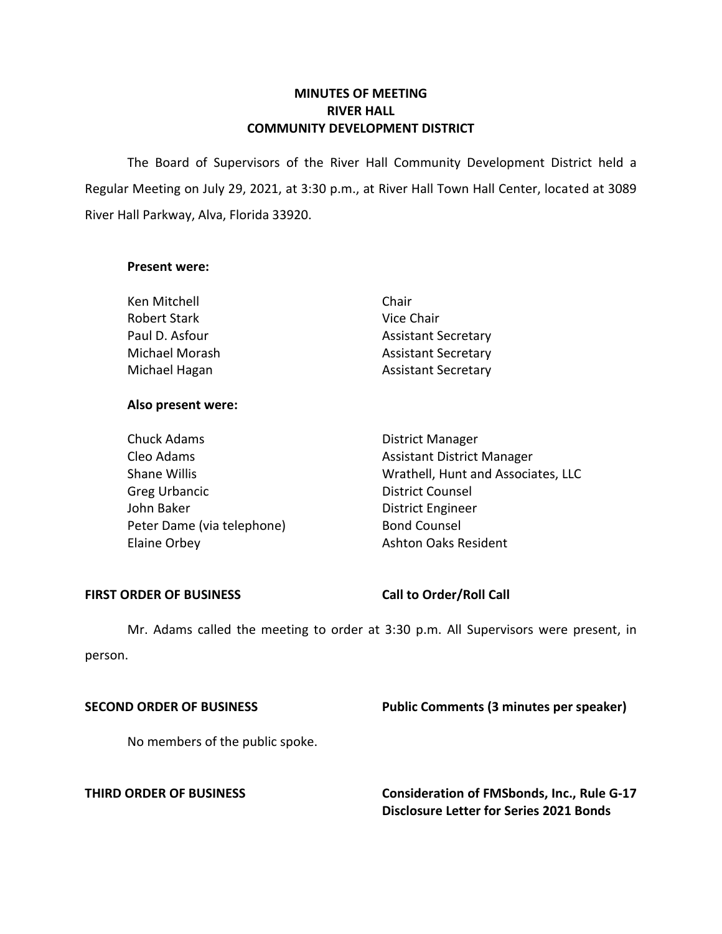# **MINUTES OF MEETING RIVER HALL COMMUNITY DEVELOPMENT DISTRICT**

 The Board of Supervisors of the River Hall Community Development District held a Regular Meeting on July 29, 2021, at 3:30 p.m., at River Hall Town Hall Center, located at 3089 River Hall Parkway, Alva, Florida 33920.

### **Present were:**

| Ken Mitchell        | Chair                      |
|---------------------|----------------------------|
| <b>Robert Stark</b> | Vice Chair                 |
| Paul D. Asfour      | <b>Assistant Secretary</b> |
| Michael Morash      | <b>Assistant Secretary</b> |
| Michael Hagan       | <b>Assistant Secretary</b> |

# **Also present were:**

| <b>Chuck Adams</b>         | <b>District Manager</b>            |
|----------------------------|------------------------------------|
| Cleo Adams                 | <b>Assistant District Manager</b>  |
| <b>Shane Willis</b>        | Wrathell, Hunt and Associates, LLC |
| <b>Greg Urbancic</b>       | <b>District Counsel</b>            |
| John Baker                 | <b>District Engineer</b>           |
| Peter Dame (via telephone) | <b>Bond Counsel</b>                |
| Elaine Orbey               | <b>Ashton Oaks Resident</b>        |

### FIRST ORDER OF BUSINESS Call to Order/Roll Call

 Mr. Adams called the meeting to order at 3:30 p.m. All Supervisors were present, in person.

# **SECOND ORDER OF BUSINESS Public Comments (3 minutes per speaker)**

No members of the public spoke.

**THIRD ORDER OF BUSINESS Consideration of FMSbonds, Inc., Rule G-17 Disclosure Letter for Series 2021 Bonds**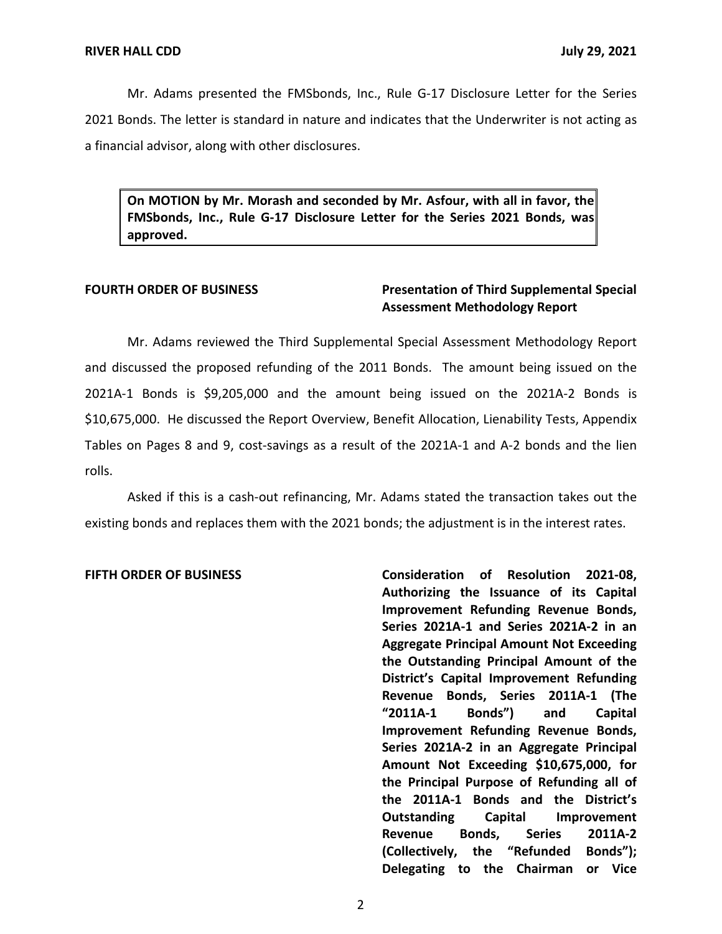Mr. Adams presented the FMSbonds, Inc., Rule G-17 Disclosure Letter for the Series 2021 Bonds. The letter is standard in nature and indicates that the Underwriter is not acting as a financial advisor, along with other disclosures.

 **On MOTION by Mr. Morash and seconded by Mr. Asfour, with all in favor, the FMSbonds, Inc., Rule G-17 Disclosure Letter for the Series 2021 Bonds, was approved.** 

# **FOURTH ORDER OF BUSINESS Presentation of Third Supplemental Special Assessment Methodology Report**

Mr. Adams reviewed the Third Supplemental Special Assessment Methodology Report and discussed the proposed refunding of the 2011 Bonds. The amount being issued on the 2021A-1 Bonds is \$9,205,000 and the amount being issued on the 2021A-2 Bonds is \$10,675,000. He discussed the Report Overview, Benefit Allocation, Lienability Tests, Appendix Tables on Pages 8 and 9, cost-savings as a result of the 2021A-1 and A-2 bonds and the lien rolls.

Asked if this is a cash-out refinancing, Mr. Adams stated the transaction takes out the existing bonds and replaces them with the 2021 bonds; the adjustment is in the interest rates.

**FIFTH ORDER OF BUSINESS Consideration of Resolution 2021-08, Authorizing the Issuance of its Capital Improvement Refunding Revenue Bonds, Series 2021A-1 and Series 2021A-2 in an Aggregate Principal Amount Not Exceeding the Outstanding Principal Amount of the District's Capital Improvement Refunding Revenue Bonds, Series 2011A-1 (The "2011A-1 Bonds") and Capital Improvement Refunding Revenue Bonds, Series 2021A-2 in an Aggregate Principal Amount Not Exceeding \$10,675,000, for the Principal Purpose of Refunding all of the 2011A-1 Bonds and the District's Outstanding Capital Improvement Revenue Bonds, Series 2011A-2 (Collectively, the "Refunded Bonds"); Delegating to the Chairman or Vice** 

2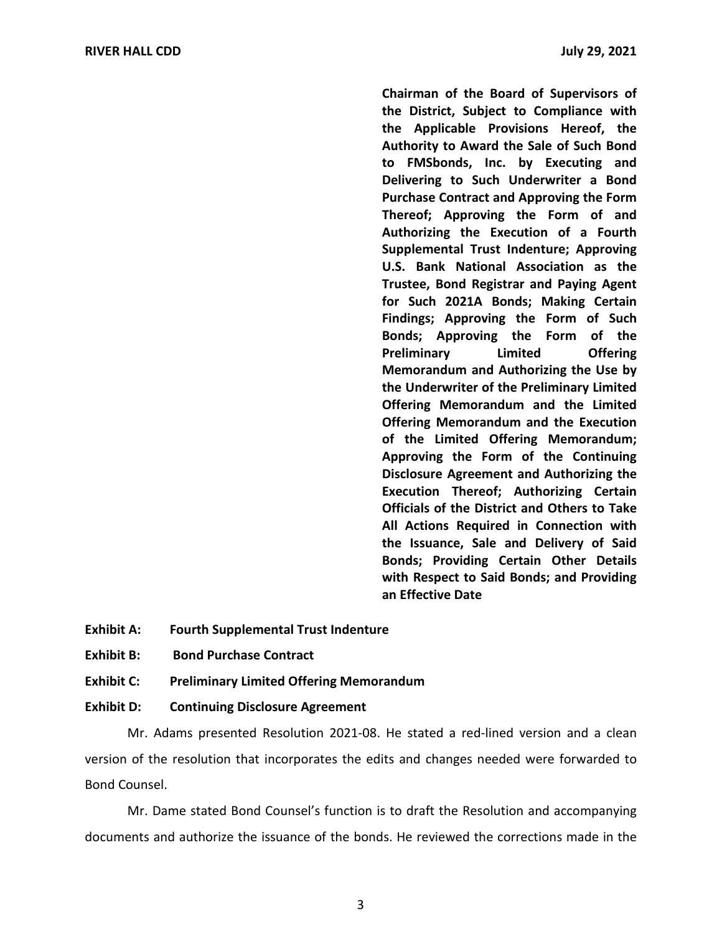**Chairman of the Board of Supervisors of the District, Subject to Compliance with the Applicable Provisions Hereof, the Authority to Award the Sale of Such Bond to FMSbonds, Inc. by Executing and Delivering to Such Underwriter a Bond Purchase Contract and Approving the Form Thereof; Approving the Form of and Authorizing the Execution of a Fourth Supplemental Trust Indenture; Approving U.S. Bank National Association as the Trustee, Bond Registrar and Paying Agent for Such 2021A Bonds; Making Certain Findings; Approving the Form of Such Bonds; Approving the Form of the Preliminary Limited Offering Memorandum and Authorizing the Use by the Underwriter of the Preliminary Limited Offering Memorandum and the Limited Offering Memorandum and the Execution of the Limited Offering Memorandum; Approving the Form of the Continuing Disclosure Agreement and Authorizing the Execution Thereof; Authorizing Certain Officials of the District and Others to Take All Actions Required in Connection with the Issuance, Sale and Delivery of Said Bonds; Providing Certain Other Details with Respect to Said Bonds; and Providing an Effective Date** 

- **Exhibit A: Fourth Supplemental Trust Indenture**
- **Exhibit B: Bond Purchase Contract**
- **Exhibit C: Preliminary Limited Offering Memorandum**

### **Exhibit D: Continuing Disclosure Agreement**

Mr. Adams presented Resolution 2021-08. He stated a red-lined version and a clean version of the resolution that incorporates the edits and changes needed were forwarded to Bond Counsel.

Mr. Dame stated Bond Counsel's function is to draft the Resolution and accompanying documents and authorize the issuance of the bonds. He reviewed the corrections made in the

3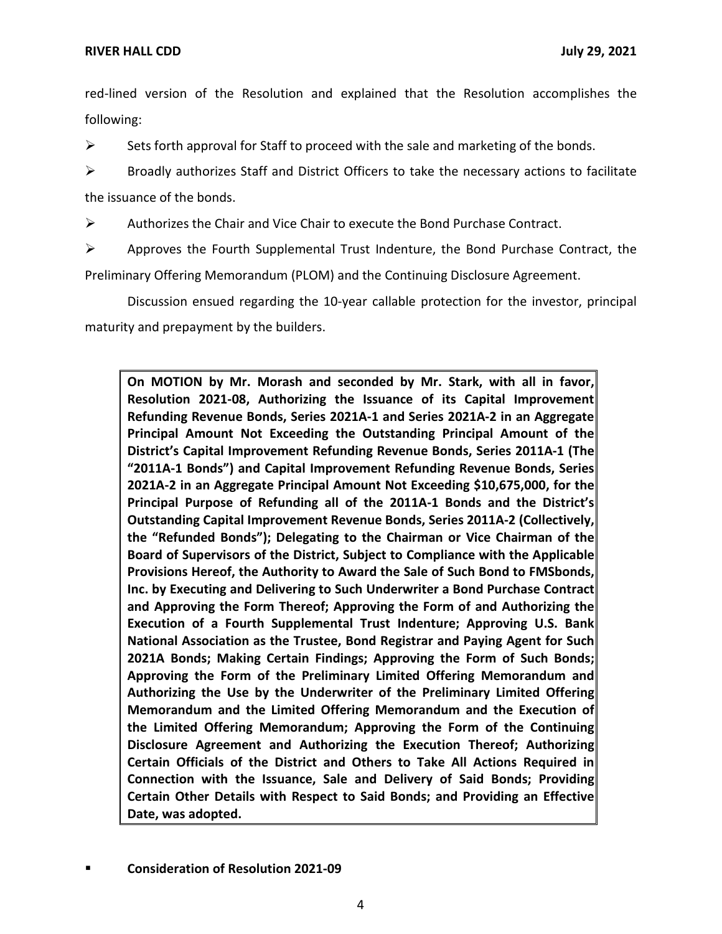red-lined version of the Resolution and explained that the Resolution accomplishes the following:

 $\triangleright$  Sets forth approval for Staff to proceed with the sale and marketing of the bonds.

 $\triangleright$  Broadly authorizes Staff and District Officers to take the necessary actions to facilitate the issuance of the bonds.

 $\triangleright$  Authorizes the Chair and Vice Chair to execute the Bond Purchase Contract.

 $\triangleright$  Approves the Fourth Supplemental Trust Indenture, the Bond Purchase Contract, the Preliminary Offering Memorandum (PLOM) and the Continuing Disclosure Agreement.

Discussion ensued regarding the 10-year callable protection for the investor, principal maturity and prepayment by the builders.

 **On MOTION by Mr. Morash and seconded by Mr. Stark, with all in favor, Resolution 2021-08, Authorizing the Issuance of its Capital Improvement Refunding Revenue Bonds, Series 2021A-1 and Series 2021A-2 in an Aggregate Principal Amount Not Exceeding the Outstanding Principal Amount of the District's Capital Improvement Refunding Revenue Bonds, Series 2011A-1 (The "2011A-1 Bonds") and Capital Improvement Refunding Revenue Bonds, Series 2021A-2 in an Aggregate Principal Amount Not Exceeding \$10,675,000, for the Principal Purpose of Refunding all of the 2011A-1 Bonds and the District's Outstanding Capital Improvement Revenue Bonds, Series 2011A-2 (Collectively, the "Refunded Bonds"); Delegating to the Chairman or Vice Chairman of the Board of Supervisors of the District, Subject to Compliance with the Applicable Provisions Hereof, the Authority to Award the Sale of Such Bond to FMSbonds, Inc. by Executing and Delivering to Such Underwriter a Bond Purchase Contract and Approving the Form Thereof; Approving the Form of and Authorizing the Execution of a Fourth Supplemental Trust Indenture; Approving U.S. Bank National Association as the Trustee, Bond Registrar and Paying Agent for Such 2021A Bonds; Making Certain Findings; Approving the Form of Such Bonds; Approving the Form of the Preliminary Limited Offering Memorandum and Authorizing the Use by the Underwriter of the Preliminary Limited Offering Memorandum and the Limited Offering Memorandum and the Execution of the Limited Offering Memorandum; Approving the Form of the Continuing Disclosure Agreement and Authorizing the Execution Thereof; Authorizing Certain Officials of the District and Others to Take All Actions Required in Connection with the Issuance, Sale and Delivery of Said Bonds; Providing Certain Other Details with Respect to Said Bonds; and Providing an Effective Date, was adopted.** 

▪ **Consideration of Resolution 2021-09**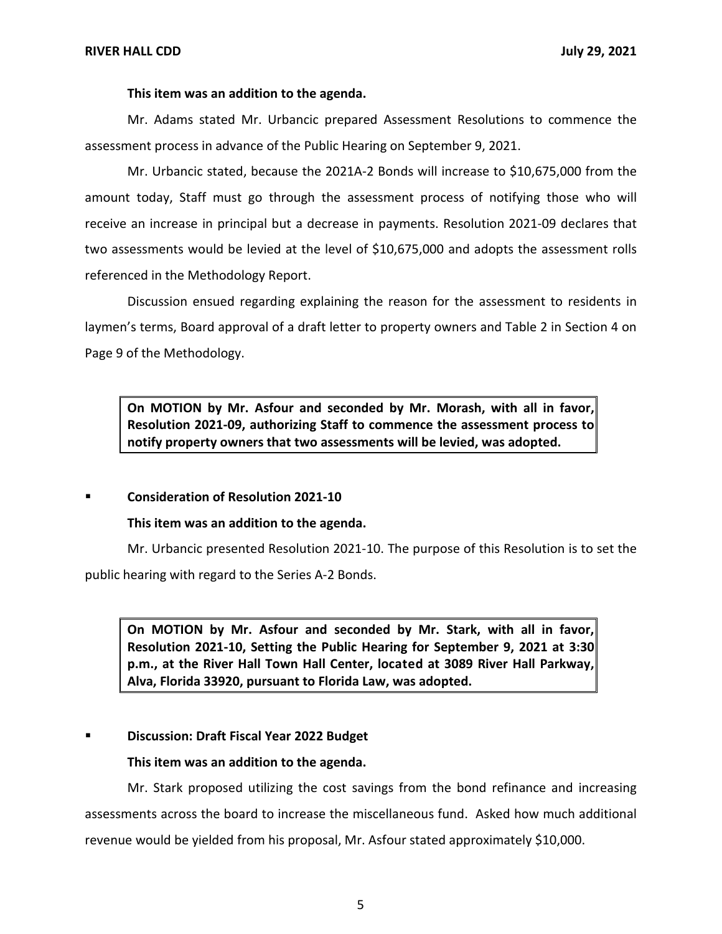### **This item was an addition to the agenda.**

Mr. Adams stated Mr. Urbancic prepared Assessment Resolutions to commence the assessment process in advance of the Public Hearing on September 9, 2021.

Mr. Urbancic stated, because the 2021A-2 Bonds will increase to \$10,675,000 from the amount today, Staff must go through the assessment process of notifying those who will receive an increase in principal but a decrease in payments. Resolution 2021-09 declares that two assessments would be levied at the level of \$10,675,000 and adopts the assessment rolls referenced in the Methodology Report.

Discussion ensued regarding explaining the reason for the assessment to residents in laymen's terms, Board approval of a draft letter to property owners and Table 2 in Section 4 on Page 9 of the Methodology.

 **On MOTION by Mr. Asfour and seconded by Mr. Morash, with all in favor, Resolution 2021-09, authorizing Staff to commence the assessment process to notify property owners that two assessments will be levied, was adopted.** 

### ▪ **Consideration of Resolution 2021-10**

**This item was an addition to the agenda.** 

Mr. Urbancic presented Resolution 2021-10. The purpose of this Resolution is to set the public hearing with regard to the Series A-2 Bonds.

 **On MOTION by Mr. Asfour and seconded by Mr. Stark, with all in favor, p.m., at the River Hall Town Hall Center, located at 3089 River Hall Parkway, Resolution 2021-10, Setting the Public Hearing for September 9, 2021 at 3:30 Alva, Florida 33920, pursuant to Florida Law, was adopted.** 

# ▪ **Discussion: Draft Fiscal Year 2022 Budget**

# **This item was an addition to the agenda.**

Mr. Stark proposed utilizing the cost savings from the bond refinance and increasing assessments across the board to increase the miscellaneous fund. Asked how much additional revenue would be yielded from his proposal, Mr. Asfour stated approximately \$10,000.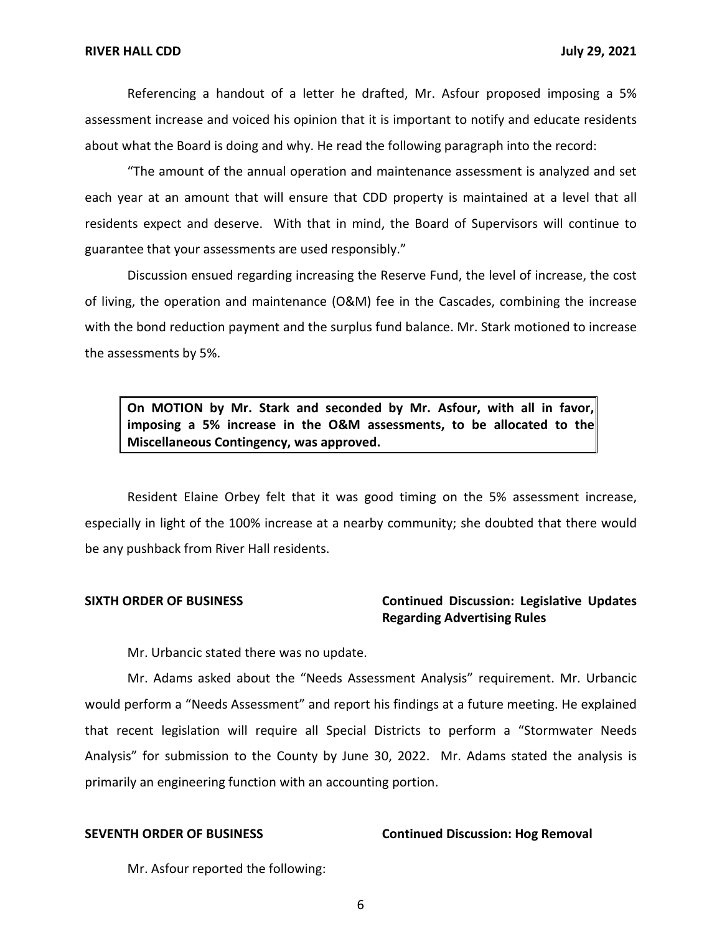Referencing a handout of a letter he drafted, Mr. Asfour proposed imposing a 5% assessment increase and voiced his opinion that it is important to notify and educate residents about what the Board is doing and why. He read the following paragraph into the record:

"The amount of the annual operation and maintenance assessment is analyzed and set each year at an amount that will ensure that CDD property is maintained at a level that all residents expect and deserve. With that in mind, the Board of Supervisors will continue to guarantee that your assessments are used responsibly."

Discussion ensued regarding increasing the Reserve Fund, the level of increase, the cost of living, the operation and maintenance (O&M) fee in the Cascades, combining the increase with the bond reduction payment and the surplus fund balance. Mr. Stark motioned to increase the assessments by 5%.

 **On MOTION by Mr. Stark and seconded by Mr. Asfour, with all in favor, imposing a 5% increase in the O&M assessments, to be allocated to the Miscellaneous Contingency, was approved.** 

Resident Elaine Orbey felt that it was good timing on the 5% assessment increase, especially in light of the 100% increase at a nearby community; she doubted that there would be any pushback from River Hall residents.

# **SIXTH ORDER OF BUSINESS Continued Discussion: Legislative Updates Regarding Advertising Rules**

Mr. Urbancic stated there was no update.

Mr. Adams asked about the "Needs Assessment Analysis" requirement. Mr. Urbancic would perform a "Needs Assessment" and report his findings at a future meeting. He explained that recent legislation will require all Special Districts to perform a "Stormwater Needs Analysis" for submission to the County by June 30, 2022. Mr. Adams stated the analysis is primarily an engineering function with an accounting portion.

### **SEVENTH ORDER OF BUSINESS Continued Discussion: Hog Removal**

Mr. Asfour reported the following:

6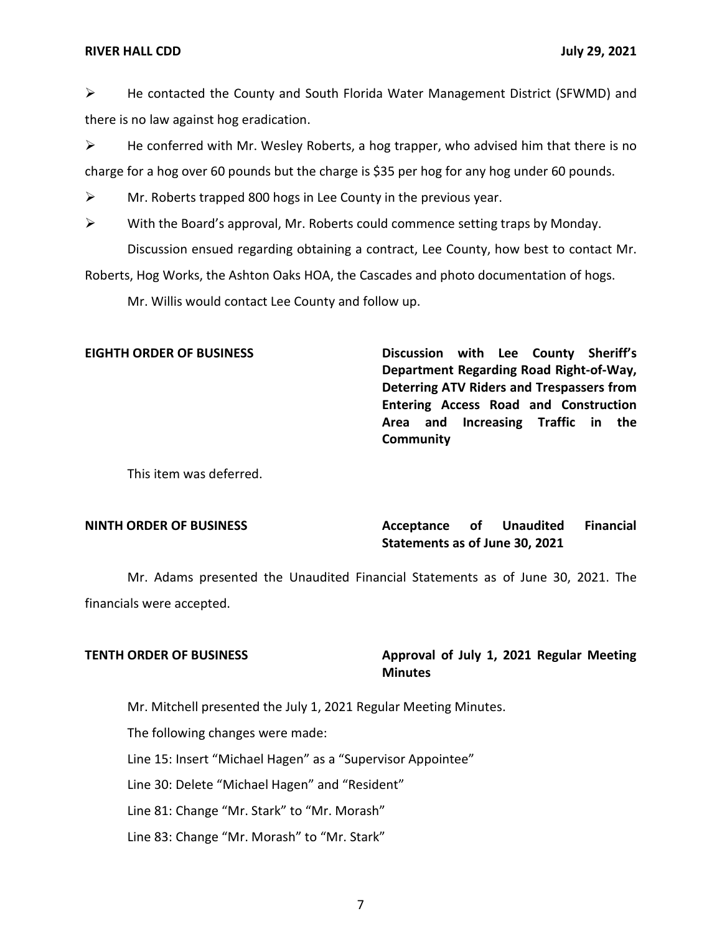### **RIVER HALL CDD July 29, 2021**

➢ He contacted the County and South Florida Water Management District (SFWMD) and there is no law against hog eradication.

 $\triangleright$  He conferred with Mr. Wesley Roberts, a hog trapper, who advised him that there is no charge for a hog over 60 pounds but the charge is \$35 per hog for any hog under 60 pounds.

 $\triangleright$  Mr. Roberts trapped 800 hogs in Lee County in the previous year.

➢ With the Board's approval, Mr. Roberts could commence setting traps by Monday. Discussion ensued regarding obtaining a contract, Lee County, how best to contact Mr.

Roberts, Hog Works, the Ashton Oaks HOA, the Cascades and photo documentation of hogs.

Mr. Willis would contact Lee County and follow up.

**EIGHTH ORDER OF BUSINESS Discussion with Lee County Sheriff's Department Regarding Road Right-of-Way, Deterring ATV Riders and Trespassers from Entering Access Road and Construction Area and Increasing Traffic in the Community** 

This item was deferred.

# **NINTH ORDER OF BUSINESS Acceptance of Unaudited Financial**

# **Unaudited Statements as of June 30, 2021**

 Mr. Adams presented the Unaudited Financial Statements as of June 30, 2021. The financials were accepted.

# **TENTH ORDER OF BUSINESS Approval of July 1, 2021 Regular Meeting Minutes**

Mr. Mitchell presented the July 1, 2021 Regular Meeting Minutes.

The following changes were made:

Line 15: Insert "Michael Hagen" as a "Supervisor Appointee"

Line 30: Delete "Michael Hagen" and "Resident"

Line 81: Change "Mr. Stark" to "Mr. Morash"

Line 83: Change "Mr. Morash" to "Mr. Stark"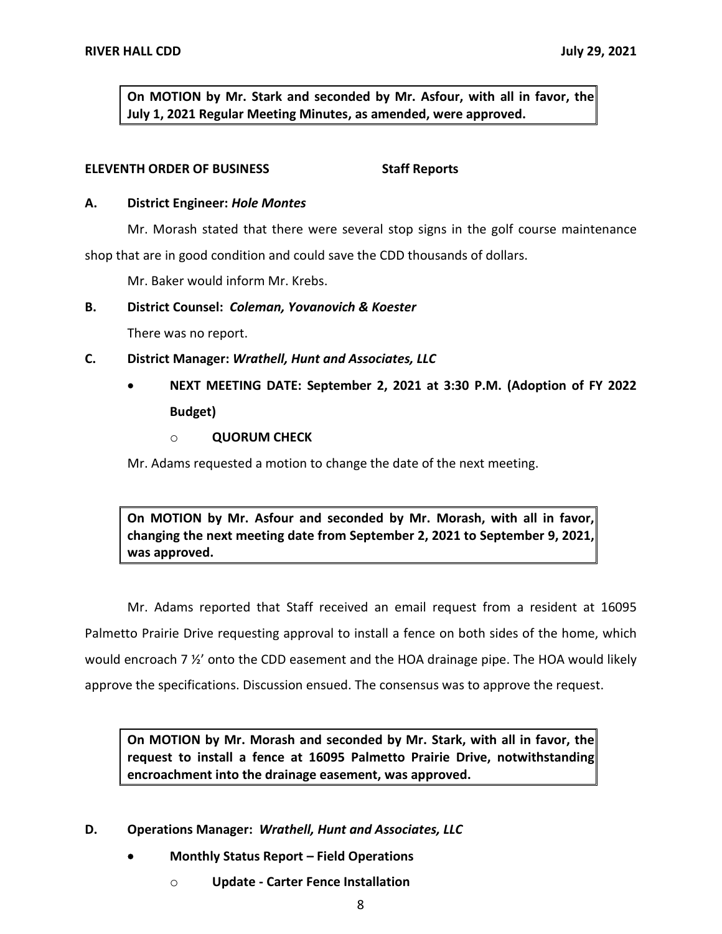**On MOTION by Mr. Stark and seconded by Mr. Asfour, with all in favor, the July 1, 2021 Regular Meeting Minutes, as amended, were approved.** 

### **ELEVENTH ORDER OF BUSINESS** Staff Reports

### **A. District Engineer:** *Hole Montes*

Mr. Morash stated that there were several stop signs in the golf course maintenance

shop that are in good condition and could save the CDD thousands of dollars.

Mr. Baker would inform Mr. Krebs.

# **B. District Counsel:** *Coleman, Yovanovich & Koester*

There was no report.

### **C. District Manager:** *Wrathell, Hunt and Associates, LLC*

# • **NEXT MEETING DATE: September 2, 2021 at 3:30 P.M. (Adoption of FY 2022 Budget)**

# o **QUORUM CHECK**

Mr. Adams requested a motion to change the date of the next meeting.

 **On MOTION by Mr. Asfour and seconded by Mr. Morash, with all in favor, changing the next meeting date from September 2, 2021 to September 9, 2021, was approved.** 

Mr. Adams reported that Staff received an email request from a resident at 16095 Palmetto Prairie Drive requesting approval to install a fence on both sides of the home, which would encroach 7 ½' onto the CDD easement and the HOA drainage pipe. The HOA would likely approve the specifications. Discussion ensued. The consensus was to approve the request.

 **On MOTION by Mr. Morash and seconded by Mr. Stark, with all in favor, the request to install a fence at 16095 Palmetto Prairie Drive, notwithstanding encroachment into the drainage easement, was approved.** 

- **D. Operations Manager:** *Wrathell, Hunt and Associates, LLC* 
	- **Monthly Status Report – Field Operations** 
		- o **Update - Carter Fence Installation**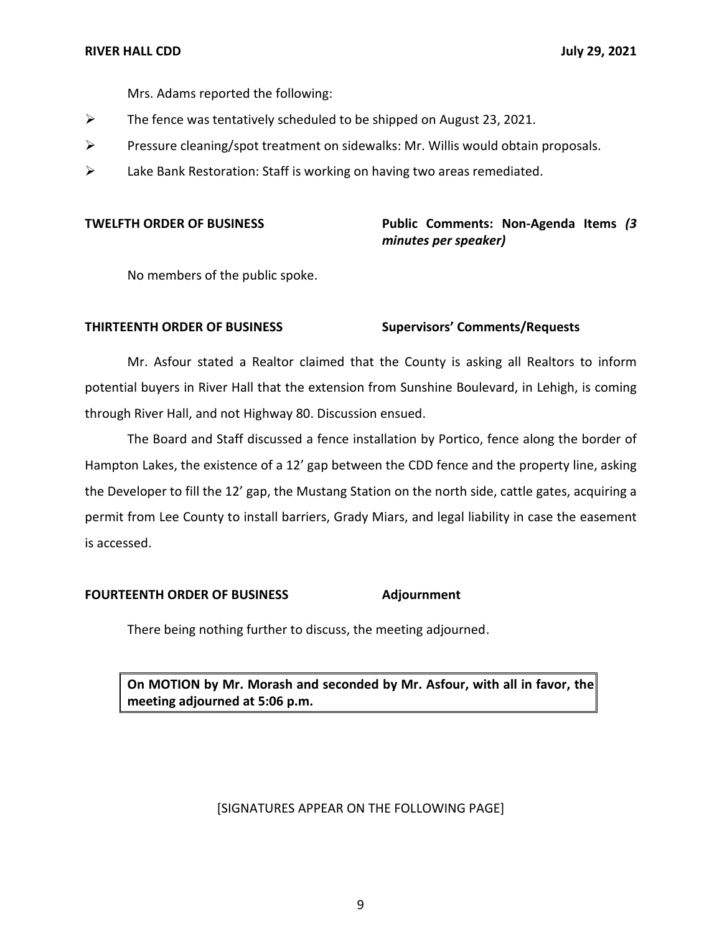Mrs. Adams reported the following:

- $\triangleright$  The fence was tentatively scheduled to be shipped on August 23, 2021.
- $\triangleright$  Pressure cleaning/spot treatment on sidewalks: Mr. Willis would obtain proposals.
- ➢ Lake Bank Restoration: Staff is working on having two areas remediated.

# **TWELFTH ORDER OF BUSINESS Public Comments: Non-Agenda Items** *(3 minutes per speaker)*

No members of the public spoke.

### **THIRTEENTH ORDER OF BUSINESS Supervisors' Comments/Requests**

Mr. Asfour stated a Realtor claimed that the County is asking all Realtors to inform potential buyers in River Hall that the extension from Sunshine Boulevard, in Lehigh, is coming through River Hall, and not Highway 80. Discussion ensued.

The Board and Staff discussed a fence installation by Portico, fence along the border of Hampton Lakes, the existence of a 12' gap between the CDD fence and the property line, asking the Developer to fill the 12' gap, the Mustang Station on the north side, cattle gates, acquiring a permit from Lee County to install barriers, Grady Miars, and legal liability in case the easement is accessed.

### **FOURTEENTH ORDER OF BUSINESS Adjournment**

There being nothing further to discuss, the meeting adjourned.

 **On MOTION by Mr. Morash and seconded by Mr. Asfour, with all in favor, the meeting adjourned at 5:06 p.m.** 

### [SIGNATURES APPEAR ON THE FOLLOWING PAGE]